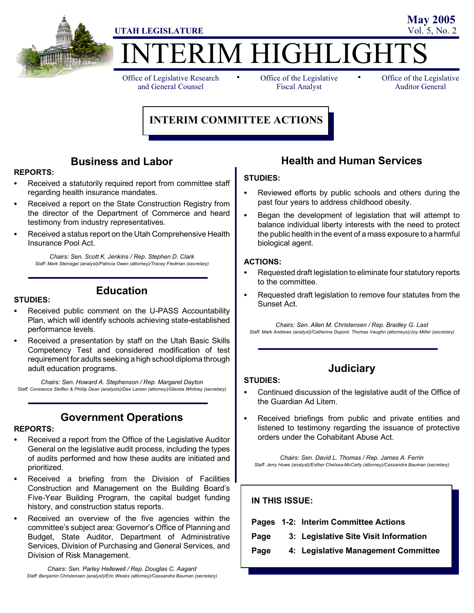

# ERIM HIGHLIGHT

Office of Legislative Research and General Counsel

• Office of the Legislative • Fiscal Analyst

Office of the Legislative Auditor General

**May 2005**

## **INTERIM COMMITTEE ACTIONS**

## **Business and Labor**

#### **REPORTS:**

- Received a statutorily required report from committee staff regarding health insurance mandates.
- Received a report on the State Construction Registry from the director of the Department of Commerce and heard testimony from industry representatives.
- Received a status report on the Utah Comprehensive Health Insurance Pool Act.

*Chairs: Sen. Scott K. Jenkins / Rep. Stephen D. Clark Staff: Mark Steinagel (analyst)/Patricia Owen (attorney)/Tracey Fredman (secretary)*

#### **STUDIES:**

performance levels.

Received public comment on the U-PASS Accountability Plan, which will identify schools achieving state-established

**Education**

Received a presentation by staff on the Utah Basic Skills Competency Test and considered modification of test requirement for adults seeking a high school diploma through adult education programs.

*Chairs: Sen. Howard A. Stephenson / Rep. Margaret Dayton Staff: Constance Steffen & Phillip Dean (analysts)/Dee Larsen (attorney)/Glenda Whitney (secretary)*

## **Government Operations**

#### **REPORTS:**

- Received a report from the Office of the Legislative Auditor General on the legislative audit process, including the types of audits performed and how these audits are initiated and prioritized.
- Received a briefing from the Division of Facilities Construction and Management on the Building Board's Five-Year Building Program, the capital budget funding history, and construction status reports.
- Received an overview of the five agencies within the committee's subject area: Governor's Office of Planning and Budget, State Auditor, Department of Administrative Services, Division of Purchasing and General Services, and Division of Risk Management.

*Chairs: Sen. Parley Hellewell / Rep. Douglas C. Aagard Staff: Benjamin Christensen (analyst)/Eric Weeks (attorney)/Cassandra Bauman (secretary)*

## **Health and Human Services**

#### **STUDIES:**

- Reviewed efforts by public schools and others during the past four years to address childhood obesity.
- S Began the development of legislation that will attempt to balance individual liberty interests with the need to protect the public health in the event of a mass exposure to a harmful biological agent.

#### **ACTIONS:**

**STUDIES:**

- Requested draft legislation to eliminate four statutory reports to the committee.
- Requested draft legislation to remove four statutes from the Sunset Act.

*Chairs: Sen. Allen M. Christensen / Rep. Bradley G. Last Staff: Mark Andrews (analyst)/Catherine Dupont, Thomas Vaughn (attorneys)/Joy Miller (secretary)*

## **Judiciary**

- Continued discussion of the legislative audit of the Office of the Guardian Ad Litem.
	- Received briefings from public and private entities and listened to testimony regarding the issuance of protective orders under the Cohabitant Abuse Act.

*Chairs: Sen. David L. Thomas / Rep. James A. Ferrin Staff: Jerry Howe (analyst)/Esther Chelsea-McCarty (attorney)/Cassandra Bauman (secretary)*

| <b>IN THIS ISSUE:</b> |                                       |
|-----------------------|---------------------------------------|
|                       | Pages 1-2: Interim Committee Actions  |
|                       | 3: Legislative Site Visit Information |
|                       | 4: Legislative Management Committee   |
|                       |                                       |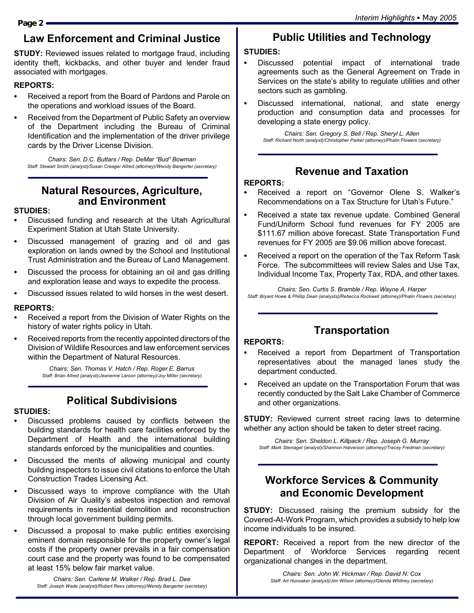## **Law Enforcement and Criminal Justice**

**STUDY:** Reviewed issues related to mortgage fraud, including identity theft, kickbacks, and other buyer and lender fraud associated with mortgages.

## **REPORTS:**

- Received a report from the Board of Pardons and Parole on the operations and workload issues of the Board.
- Received from the Department of Public Safety an overview of the Department including the Bureau of Criminal Identification and the implementation of the driver privilege cards by the Driver License Division.

*Chairs: Sen. D.C. Buttars / Rep. DeMar "Bud" Bowman Staff: Stewart Smith (analyst)/Susan Creager Allred (attorney)/Wendy Bangerter (secretary)*

## **Natural Resources, Agriculture, and Environment**

## **STUDIES:**

- Discussed funding and research at the Utah Agricultural Experiment Station at Utah State University.
- Discussed management of grazing and oil and gas exploration on lands owned by the School and Institutional Trust Administration and the Bureau of Land Management.
- Discussed the process for obtaining an oil and gas drilling and exploration lease and ways to expedite the process.
- Discussed issues related to wild horses in the west desert.

## **REPORTS:**

- Received a report from the Division of Water Rights on the history of water rights policy in Utah.
- Received reports from the recently appointed directors of the Division of Wildlife Resources and law enforcement services within the Department of Natural Resources.

*Chairs: Sen. Thomas V. Hatch / Rep. Roger E. Barrus Staff: Brian Allred (analyst)/Jeanenne Larson (attorney)/Joy Miller (secretary)*

## **Political Subdivisions**

## **STUDIES:**

- Discussed problems caused by conflicts between the building standards for health care facilities enforced by the Department of Health and the international building standards enforced by the municipalities and counties.
- Discussed the merits of allowing municipal and county building inspectors to issue civil citations to enforce the Utah Construction Trades Licensing Act.
- Discussed ways to improve compliance with the Utah Division of Air Quality's asbestos inspection and removal requirements in residential demolition and reconstruction through local government building permits.
- Discussed a proposal to make public entities exercising eminent domain responsible for the property owner's legal costs if the property owner prevails in a fair compensation court case and the property was found to be compensated at least 15% below fair market value.

*Chairs: Sen. Carlene M. Walker / Rep. Brad L. Dee Staff: Joseph Wade (analyst)/Robert Rees (attorney)/Wendy Bangerter (secretary)*

# **Public Utilities and Technology**

## **STUDIES:**

- Discussed potential impact of international trade agreements such as the General Agreement on Trade in Services on the state's ability to regulate utilities and other sectors such as gambling.
- Discussed international, national, and state energy production and consumption data and processes for developing a state energy policy.

*Chairs: Sen. Gregory S. Bell / Rep. Sheryl L. Allen Staff: Richard North (analyst)/Christopher Parker (attorney)/Phalin Flowers (secretary)*

## **Revenue and Taxation**

## **REPORTS:**

- Received a report on "Governor Olene S. Walker's Recommendations on a Tax Structure for Utah's Future."
- Received a state tax revenue update. Combined General Fund/Uniform School fund revenues for FY 2005 are \$111.67 million above forecast. State Transportation Fund revenues for FY 2005 are \$9.06 million above forecast.
- Received a report on the operation of the Tax Reform Task Force. The subcommittees will review Sales and Use Tax, Individual Income Tax, Property Tax, RDA, and other taxes.

*Chairs: Sen. Curtis S. Bramble / Rep. Wayne A. Harper Staff: Bryant Howe & Phillip Dean (analysts)/Rebecca Rockwell (attorney)/Phalin Flowers (secretary)*

## **Transportation**

## **REPORTS:**

- Received a report from Department of Transportation representatives about the managed lanes study the department conducted.
- Received an update on the Transportation Forum that was recently conducted by the Salt Lake Chamber of Commerce and other organizations.

**STUDY:** Reviewed current street racing laws to determine whether any action should be taken to deter street racing.

*Chairs: Sen. Sheldon L. Killpack / Rep. Joseph G. Murray Staff: Mark Steinagel (analyst)/Shannon Halverson (attorney)/Tracey Fredman (secretary)*

## **Workforce Services & Community and Economic Development**

**STUDY:** Discussed raising the premium subsidy for the Covered-At-Work Program, which provides a subsidy to help low income individuals to be insured.

**REPORT:** Received a report from the new director of the Department of Workforce Services regarding recent organizational changes in the department.

*Chairs: Sen. John W. Hickman / Rep. David N. Cox Staff: Art Hunsaker (analyst)/Jim Wilson (attorney)/Glenda Whitney (secretary)*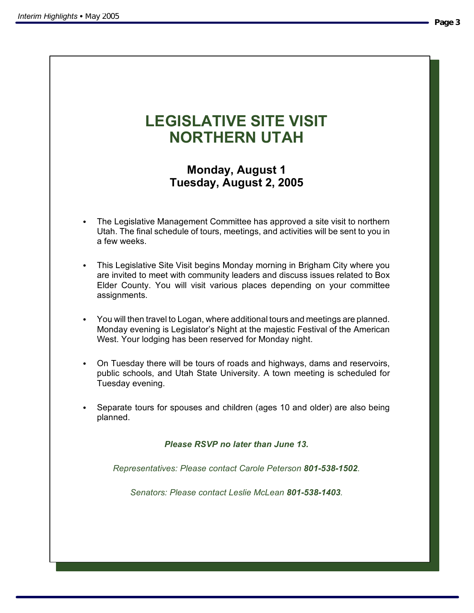#### **Page 3**

# **LEGISLATIVE SITE VISIT NORTHERN UTAH**

## **Monday, August 1 Tuesday, August 2, 2005**

- The Legislative Management Committee has approved a site visit to northern Utah. The final schedule of tours, meetings, and activities will be sent to you in a few weeks.
- This Legislative Site Visit begins Monday morning in Brigham City where you are invited to meet with community leaders and discuss issues related to Box Elder County. You will visit various places depending on your committee assignments.
- You will then travel to Logan, where additional tours and meetings are planned. Monday evening is Legislator's Night at the majestic Festival of the American West. Your lodging has been reserved for Monday night.
- On Tuesday there will be tours of roads and highways, dams and reservoirs, public schools, and Utah State University. A town meeting is scheduled for Tuesday evening.
- S Separate tours for spouses and children (ages 10 and older) are also being planned.

*Please RSVP no later than June 13.*

*Representatives: Please contact Carole Peterson 801-538-1502.*

*Senators: Please contact Leslie McLean 801-538-1403.*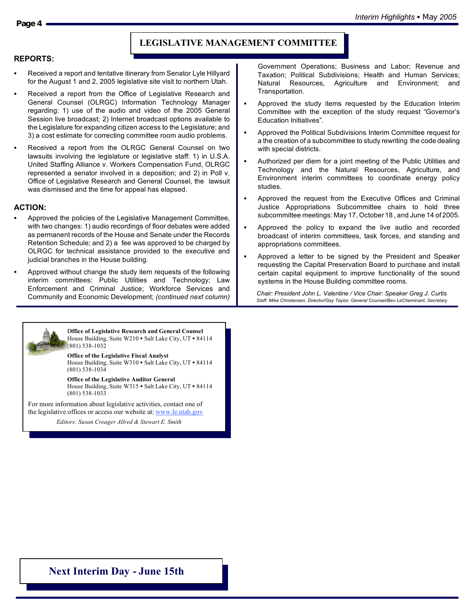## **LEGISLATIVE MANAGEMENT COMMITTEE**

#### **REPORTS:**

- Received a report and tentative itinerary from Senator Lyle Hillyard for the August 1 and 2, 2005 legislative site visit to northern Utah.
- Received a report from the Office of Legislative Research and General Counsel (OLRGC) Information Technology Manager regarding: 1) use of the audio and video of the 2005 General Session live broadcast; 2) Internet broadcast options available to the Legislature for expanding citizen access to the Legislature; and 3) a cost estimate for correcting committee room audio problems.
- Received a report from the OLRGC General Counsel on two lawsuits involving the legislature or legislative staff: 1) in U.S.A. United Staffing Alliance v. Workers Compensation Fund, OLRGC represented a senator involved in a deposition; and 2) in Poll v. Office of Legislative Research and General Counsel, the lawsuit was dismissed and the time for appeal has elapsed.

#### **ACTION:**

- Approved the policies of the Legislative Management Committee, with two changes: 1) audio recordings of floor debates were added as permanent records of the House and Senate under the Records Retention Schedule; and 2) a fee was approved to be charged by OLRGC for technical assistance provided to the executive and judicial branches in the House building.
- Approved without change the study item requests of the following interim committees: Public Utilities and Technology; Law Enforcement and Criminal Justice; Workforce Services and Community and Economic Development; *(continued next column)*



**Office of Legislative Research and General Counsel** House Building, Suite W210  $\bullet$  Salt Lake City, UT  $\bullet$  84114 (801) 538-1032

**Office of the Legislative Fiscal Analyst** House Building, Suite W310 · Salt Lake City, UT · 84114 (801) 538-1034

**Office of the Legislative Auditor General** House Building, Suite W315  $\bullet$  Salt Lake City, UT  $\bullet$  84114 (801) 538-1033

For more information about legislative activities, contact one of the legislative offices or access our website at: www.le.utah.gov

*Editors: Susan Creager-Allred & Stewart Smith Editors: Susan Creager Allred & Stewart E. Smith*

Government Operations; Business and Labor; Revenue and Taxation; Political Subdivisions; Health and Human Services; Natural Resources, Agriculture and Environment; and Transportation.

- Approved the study items requested by the Education Interim Committee with the exception of the study request "Governor's Education Initiatives".
- Approved the Political Subdivisions Interim Committee request for a the creation of a subcommittee to study rewriting the code dealing with special districts.
- Authorized per diem for a joint meeting of the Public Utilities and Technology and the Natural Resources, Agriculture, and Environment interim committees to coordinate energy policy studies.
- Approved the request from the Executive Offices and Criminal Justice Appropriations Subcommittee chairs to hold three subcommittee meetings: May 17, October 18 , and June 14 of 2005.
- Approved the policy to expand the live audio and recorded broadcast of interim committees, task forces, and standing and appropriations committees.
- Approved a letter to be signed by the President and Speaker requesting the Capital Preservation Board to purchase and install certain capital equipment to improve functionality of the sound systems in the House Building committee rooms.

*Chair: President John L. Valentine / Vice Chair: Speaker Greg J. Curtis Staff: Mike Christensen, Director/Gay Taylor, General Counsel/Bev LeCheminant, Secretary*

## **Next Interim Day - June 15th**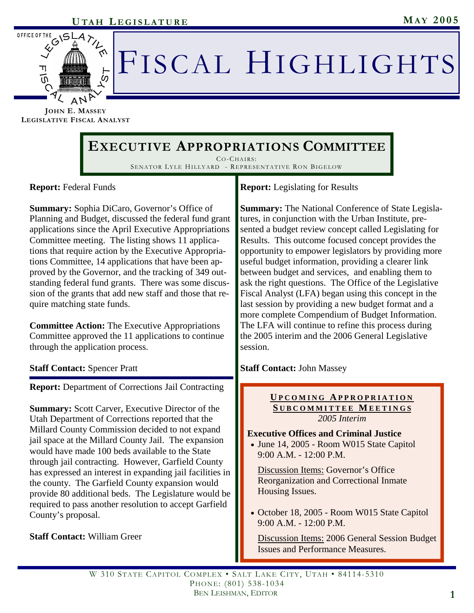

# FISCAL HIGHLIGHTS

**JOHN E. MASSEY LEGISLATIVE FISCAL ANALYST**

## **EXECUTIVE APPROPRIATIONS COMMITTEE**

CO-CHAIRS : SENATOR LYLE HILLYARD - REPRESENTATIVE RON BIGELOW

**Report:** Federal Funds

**Summary:** Sophia DiCaro, Governor's Office of Planning and Budget, discussed the federal fund grant applications since the April Executive Appropriations Committee meeting. The listing shows 11 applications that require action by the Executive Appropriations Committee, 14 applications that have been approved by the Governor, and the tracking of 349 outstanding federal fund grants. There was some discussion of the grants that add new staff and those that require matching state funds.

**Committee Action:** The Executive Appropriations Committee approved the 11 applications to continue through the application process.

## **Staff Contact:** Spencer Pratt

**Report:** Department of Corrections Jail Contracting

**Summary:** Scott Carver, Executive Director of the Utah Department of Corrections reported that the Millard County Commission decided to not expand jail space at the Millard County Jail. The expansion would have made 100 beds available to the State through jail contracting. However, Garfield County has expressed an interest in expanding jail facilities in the county. The Garfield County expansion would provide 80 additional beds. The Legislature would be required to pass another resolution to accept Garfield County's proposal.

**Staff Contact:** William Greer

**Report:** Legislating for Results

**Summary:** The National Conference of State Legislatures, in conjunction with the Urban Institute, presented a budget review concept called Legislating for Results. This outcome focused concept provides the opportunity to empower legislators by providing more useful budget information, providing a clearer link between budget and services, and enabling them to ask the right questions. The Office of the Legislative Fiscal Analyst (LFA) began using this concept in the last session by providing a new budget format and a more complete Compendium of Budget Information. The LFA will continue to refine this process during the 2005 interim and the 2006 General Legislative session.

**Staff Contact:** John Massey

#### **U PCOMING A PPROPRIATION S UBCOMMITTEE M EETINGS** *2005 Interim*

**Executive Offices and Criminal Justice** 

• June 14, 2005 - Room W015 State Capitol 9:00 A.M. - 12:00 P.M.

 Discussion Items: Governor's Office Reorganization and Correctional Inmate Housing Issues.

• October 18, 2005 - Room W015 State Capitol 9:00 A.M. - 12:00 P.M.

 Discussion Items: 2006 General Session Budget Issues and Performance Measures.